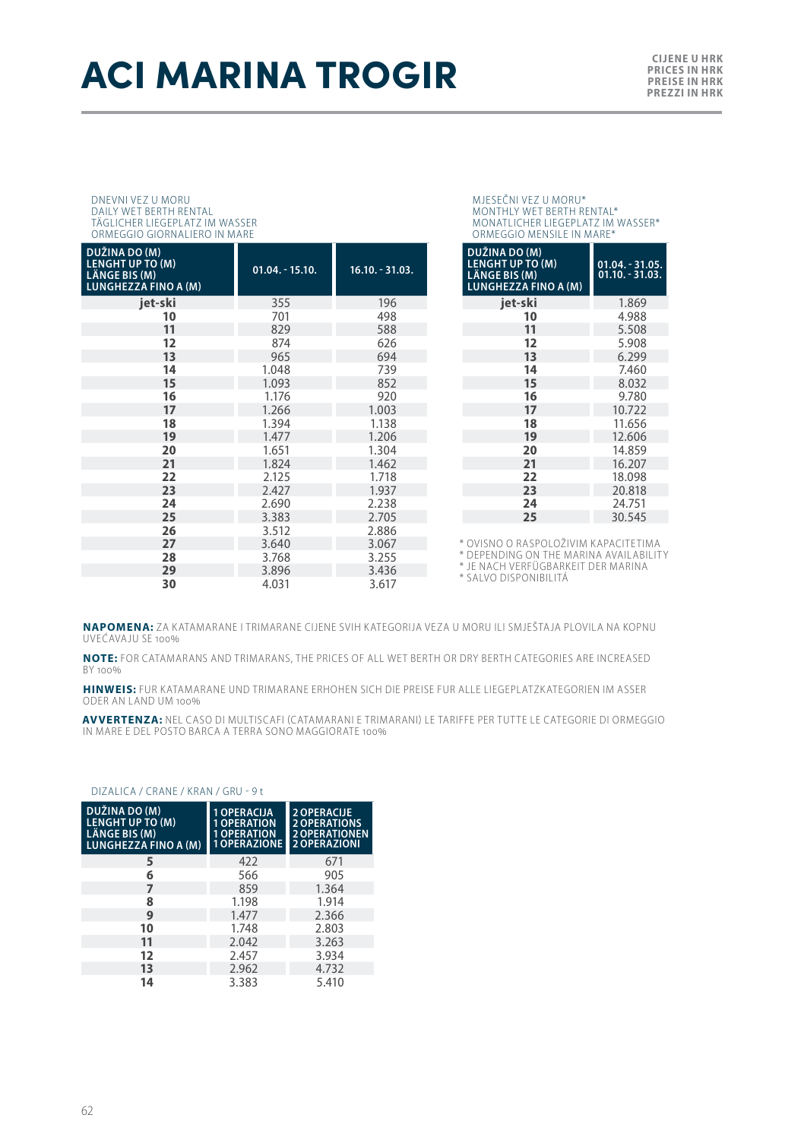# **ACI MARINA TROGIR CILENE U HRK**

#### DNEVNI VEZ U MORU DAILY WET BERTH RENTAL TÄGLICHER LIEGEPLATZ IM WASSER ORMEGGIO GIORNALIERO IN MARE

| DUŽINA DO (M)<br><b>LENGHT UP TO (M)</b><br>LÄNGE BIS (M)<br><b>LUNGHEZZA FINO A (M)</b> | $01.04. - 15.10.$ | $16.10. - 31.03.$ |
|------------------------------------------------------------------------------------------|-------------------|-------------------|
| jet-ski                                                                                  | 355               | 196               |
| 10                                                                                       | 701               | 498               |
| 11                                                                                       | 829               | 588               |
| 12                                                                                       | 874               | 626               |
| 13                                                                                       | 965               | 694               |
| 14                                                                                       | 1.048             | 739               |
| 15                                                                                       | 1.093             | 852               |
| 16                                                                                       | 1.176             | 920               |
| 17                                                                                       | 1.266             | 1.003             |
| 18                                                                                       | 1.394             | 1.138             |
| 19                                                                                       | 1.477             | 1.206             |
| 20                                                                                       | 1.651             | 1.304             |
| 21                                                                                       | 1.824             | 1.462             |
| 22                                                                                       | 2.125             | 1.718             |
| 23                                                                                       | 2.427             | 1.937             |
| 24                                                                                       | 2.690             | 2.238             |
| 25                                                                                       | 3.383             | 2.705             |
| 26                                                                                       | 3.512             | 2.886             |
| 27                                                                                       | 3.640             | 3.067             |
| 28                                                                                       | 3.768             | 3.255             |
| 29                                                                                       | 3.896             | 3.436             |
| 30                                                                                       | 4.031             | 3.617             |

#### MJESEČNI VEZ U MORU\* MONTHLY WET BERTH RENTAL\* MONATLICHER LIEGEPLATZ IM WASSER\* ORMEGGIO MENSILE IN MARE\*

| DUŽINA DO (M)<br><b>LENGHT UP TO (M)</b><br><b>LÄNGE BIS (M)</b><br><b>LUNGHEZZA FINO A (M)</b> | $01.04. - 31.05.$<br>$01.10 - 31.03$ . |
|-------------------------------------------------------------------------------------------------|----------------------------------------|
| iet-ski                                                                                         | 1.869                                  |
| 10                                                                                              | 4.988                                  |
| 11                                                                                              | 5.508                                  |
| 12                                                                                              | 5.908                                  |
| 13                                                                                              | 6.299                                  |
| 14                                                                                              | 7.460                                  |
| 15                                                                                              | 8.032                                  |
| 16                                                                                              | 9.780                                  |
| 17                                                                                              | 10.722                                 |
| 18                                                                                              | 11.656                                 |
| 19                                                                                              | 12.606                                 |
| 20                                                                                              | 14.859                                 |
| 21                                                                                              | 16.207                                 |
| 22                                                                                              | 18.098                                 |
| 23                                                                                              | 20.818                                 |
| 24                                                                                              | 24.751                                 |
| 25                                                                                              | 30.545                                 |

\* OVISNO O RASPOLOŽIVIM KAPACITETIMA

\* DEPENDING ON THE MARINA AVAILABILITY \* JE NACH VERFÜGBARKEIT DER MARINA

\* SALVO DISPONIBILITÁ

**NAPOMENA:** ZA KATAMARANE I TRIMARANE CIJENE SVIH KATEGORIJA VEZA U MORU ILI SMJEŠTAJA PLOVILA NA KOPNU UVEĆAVAJU SE 100%

**NOTE:** FOR CATAMARANS AND TRIMARANS, THE PRICES OF ALL WET BERTH OR DRY BERTH CATEGORIES ARE INCREASED BY 100%

**HINWEIS:** FUR KATAMARANE UND TRIMARANE ERHOHEN SICH DIE PREISE FUR ALLE LIEGEPLATZKATEGORIEN IM ASSER ODER AN LAND UM 100%

**AVVERTENZA:** NEL CASO DI MULTISCAFI (CATAMARANI E TRIMARANI) LE TARIFFE PER TUTTE LE CATEGORIE DI ORMEGGIO<br>IN MARE E DEL POSTO BARCA A TERRA SONO MAGGIORATE 100%

#### DIZALICA / CRANE / KRAN / GRU - 9 t

| DUŽINA DO (M)<br>LENGHT UP TO (M)<br>LÄNGE BIS (M)<br>LUNGHEZZA FINO A (M) | 1 OPERACIJA<br><b>OPERATION</b><br><b>OPERATION</b><br><b>1 OPERAZIONE</b> | <b>2 OPERACUE</b><br><b>2 OPERATIONS</b><br><b>2 OPERATIONEN</b><br>2 OPERAZIONI |
|----------------------------------------------------------------------------|----------------------------------------------------------------------------|----------------------------------------------------------------------------------|
| 5                                                                          | 422                                                                        | 671                                                                              |
| 6                                                                          | 566                                                                        | 905                                                                              |
| $\overline{7}$                                                             | 859                                                                        | 1.364                                                                            |
| 8                                                                          | 1.198                                                                      | 1.914                                                                            |
| 9                                                                          | 1.477                                                                      | 2.366                                                                            |
| 10                                                                         | 1.748                                                                      | 2.803                                                                            |
| 11                                                                         | 2.042                                                                      | 3.263                                                                            |
| 12                                                                         | 2.457                                                                      | 3.934                                                                            |
| 13                                                                         | 2.962                                                                      | 4.732                                                                            |
| 14                                                                         | 3.383                                                                      | 5.410                                                                            |